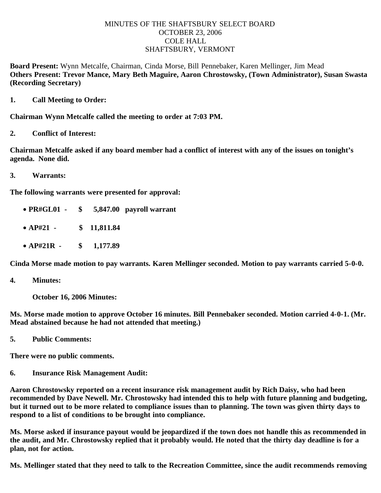## MINUTES OF THE SHAFTSBURY SELECT BOARD OCTOBER 23, 2006 COLE HALL SHAFTSBURY, VERMONT

**Board Present:** Wynn Metcalfe, Chairman, Cinda Morse, Bill Pennebaker, Karen Mellinger, Jim Mead **Others Present: Trevor Mance, Mary Beth Maguire, Aaron Chrostowsky, (Town Administrator), Susan Swasta (Recording Secretary)**

**1. Call Meeting to Order:**

**Chairman Wynn Metcalfe called the meeting to order at 7:03 PM.**

**2. Conflict of Interest:**

**Chairman Metcalfe asked if any board member had a conflict of interest with any of the issues on tonight's agenda. None did.**

**3. Warrants:**

**The following warrants were presented for approval:**

- · **PR#GL01 \$ 5,847.00 payroll warrant**
- · **AP#21 \$ 11,811.84**
- · **AP#21R \$ 1,177.89**

**Cinda Morse made motion to pay warrants. Karen Mellinger seconded. Motion to pay warrants carried 5-0-0.**

**4. Minutes:**

 **October 16, 2006 Minutes:**

**Ms. Morse made motion to approve October 16 minutes. Bill Pennebaker seconded. Motion carried 4-0-1. (Mr. Mead abstained because he had not attended that meeting.)**

**5. Public Comments:**

**There were no public comments.**

**6. Insurance Risk Management Audit:**

**Aaron Chrostowsky reported on a recent insurance risk management audit by Rich Daisy, who had been recommended by Dave Newell. Mr. Chrostowsky had intended this to help with future planning and budgeting, but it turned out to be more related to compliance issues than to planning. The town was given thirty days to respond to a list of conditions to be brought into compliance.**

**Ms. Morse asked if insurance payout would be jeopardized if the town does not handle this as recommended in the audit, and Mr. Chrostowsky replied that it probably would. He noted that the thirty day deadline is for a plan, not for action.**

**Ms. Mellinger stated that they need to talk to the Recreation Committee, since the audit recommends removing**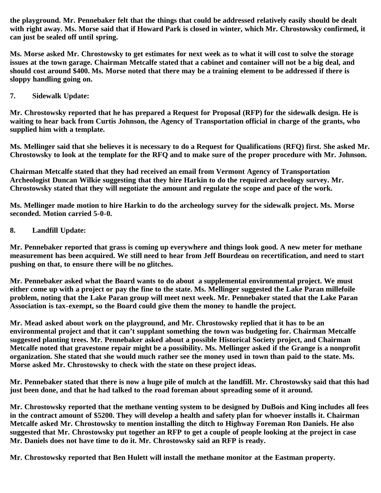**the playground. Mr. Pennebaker felt that the things that could be addressed relatively easily should be dealt with right away. Ms. Morse said that if Howard Park is closed in winter, which Mr. Chrostowsky confirmed, it can just be sealed off until spring.**

**Ms. Morse asked Mr. Chrostowsky to get estimates for next week as to what it will cost to solve the storage issues at the town garage. Chairman Metcalfe stated that a cabinet and container will not be a big deal, and should cost around \$400. Ms. Morse noted that there may be a training element to be addressed if there is sloppy handling going on.**

## **7. Sidewalk Update:**

**Mr. Chrostowsky reported that he has prepared a Request for Proposal (RFP) for the sidewalk design. He is waiting to hear back from Curtis Johnson, the Agency of Transportation official in charge of the grants, who supplied him with a template.**

**Ms. Mellinger said that she believes it is necessary to do a Request for Qualifications (RFQ) first. She asked Mr. Chrostowsky to look at the template for the RFQ and to make sure of the proper procedure with Mr. Johnson.**

**Chairman Metcalfe stated that they had received an email from Vermont Agency of Transportation Archeologist Duncan Wilkie suggesting that they hire Harkin to do the required archeology survey. Mr. Chrostowsky stated that they will negotiate the amount and regulate the scope and pace of the work.**

**Ms. Mellinger made motion to hire Harkin to do the archeology survey for the sidewalk project. Ms. Morse seconded. Motion carried 5-0-0.**

## **8. Landfill Update:**

**Mr. Pennebaker reported that grass is coming up everywhere and things look good. A new meter for methane measurement has been acquired. We still need to hear from Jeff Bourdeau on recertification, and need to start pushing on that, to ensure there will be no glitches.**

**Mr. Pennebaker asked what the Board wants to do about a supplemental environmental project. We must either come up with a project or pay the fine to the state. Ms. Mellinger suggested the Lake Paran millefoile problem, noting that the Lake Paran group will meet next week. Mr. Pennebaker stated that the Lake Paran Association is tax-exempt, so the Board could give them the money to handle the project.**

**Mr. Mead asked about work on the playground, and Mr. Chrostowsky replied that it has to be an environmental project and that it can't supplant something the town was budgeting for. Chairman Metcalfe suggested planting trees. Mr. Pennebaker asked about a possible Historical Society project, and Chairman Metcalfe noted that gravestone repair might be a possibility. Ms. Mellinger asked if the Grange is a nonprofit organization. She stated that she would much rather see the money used in town than paid to the state. Ms. Morse asked Mr. Chrostowsky to check with the state on these project ideas.**

**Mr. Pennebaker stated that there is now a huge pile of mulch at the landfill. Mr. Chrostowsky said that this had just been done, and that he had talked to the road foreman about spreading some of it around.**

**Mr. Chrostowsky reported that the methane venting system to be designed by DuBois and King includes all fees in the contract amount of \$5200. They will develop a health and safety plan for whoever installs it. Chairman Metcalfe asked Mr. Chrostowsky to mention installing the ditch to Highway Foreman Ron Daniels. He also suggested that Mr. Chrostowsky put together an RFP to get a couple of people looking at the project in case Mr. Daniels does not have time to do it. Mr. Chrostowsky said an RFP is ready.**

**Mr. Chrostowsky reported that Ben Hulett will install the methane monitor at the Eastman property.**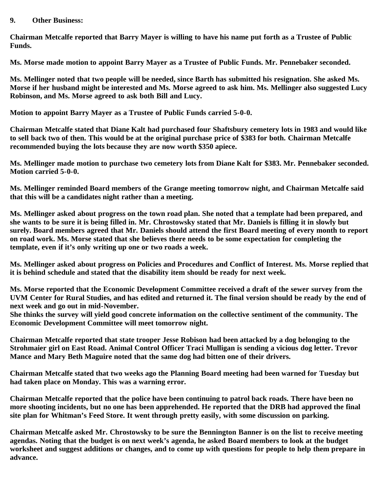## **9. Other Business:**

**Chairman Metcalfe reported that Barry Mayer is willing to have his name put forth as a Trustee of Public Funds.**

**Ms. Morse made motion to appoint Barry Mayer as a Trustee of Public Funds. Mr. Pennebaker seconded.**

**Ms. Mellinger noted that two people will be needed, since Barth has submitted his resignation. She asked Ms. Morse if her husband might be interested and Ms. Morse agreed to ask him. Ms. Mellinger also suggested Lucy Robinson, and Ms. Morse agreed to ask both Bill and Lucy.**

**Motion to appoint Barry Mayer as a Trustee of Public Funds carried 5-0-0.**

**Chairman Metcalfe stated that Diane Kalt had purchased four Shaftsbury cemetery lots in 1983 and would like to sell back two of then. This would be at the original purchase price of \$383 for both. Chairman Metcalfe recommended buying the lots because they are now worth \$350 apiece.**

**Ms. Mellinger made motion to purchase two cemetery lots from Diane Kalt for \$383. Mr. Pennebaker seconded. Motion carried 5-0-0.**

**Ms. Mellinger reminded Board members of the Grange meeting tomorrow night, and Chairman Metcalfe said that this will be a candidates night rather than a meeting.**

**Ms. Mellinger asked about progress on the town road plan. She noted that a template had been prepared, and she wants to be sure it is being filled in. Mr. Chrostowsky stated that Mr. Daniels is filling it in slowly but surely. Board members agreed that Mr. Daniels should attend the first Board meeting of every month to report on road work. Ms. Morse stated that she believes there needs to be some expectation for completing the template, even if it's only writing up one or two roads a week.**

**Ms. Mellinger asked about progress on Policies and Procedures and Conflict of Interest. Ms. Morse replied that it is behind schedule and stated that the disability item should be ready for next week.**

**Ms. Morse reported that the Economic Development Committee received a draft of the sewer survey from the UVM Center for Rural Studies, and has edited and returned it. The final version should be ready by the end of next week and go out in mid-November.**

**She thinks the survey will yield good concrete information on the collective sentiment of the community. The Economic Development Committee will meet tomorrow night.**

**Chairman Metcalfe reported that state trooper Jesse Robison had been attacked by a dog belonging to the Strohmaier girl on East Road. Animal Control Officer Traci Mulligan is sending a vicious dog letter. Trevor Mance and Mary Beth Maguire noted that the same dog had bitten one of their drivers.**

**Chairman Metcalfe stated that two weeks ago the Planning Board meeting had been warned for Tuesday but had taken place on Monday. This was a warning error.**

**Chairman Metcalfe reported that the police have been continuing to patrol back roads. There have been no more shooting incidents, but no one has been apprehended. He reported that the DRB had approved the final site plan for Whitman's Feed Store. It went through pretty easily, with some discussion on parking.**

**Chairman Metcalfe asked Mr. Chrostowsky to be sure the Bennington Banner is on the list to receive meeting agendas. Noting that the budget is on next week's agenda, he asked Board members to look at the budget worksheet and suggest additions or changes, and to come up with questions for people to help them prepare in advance.**